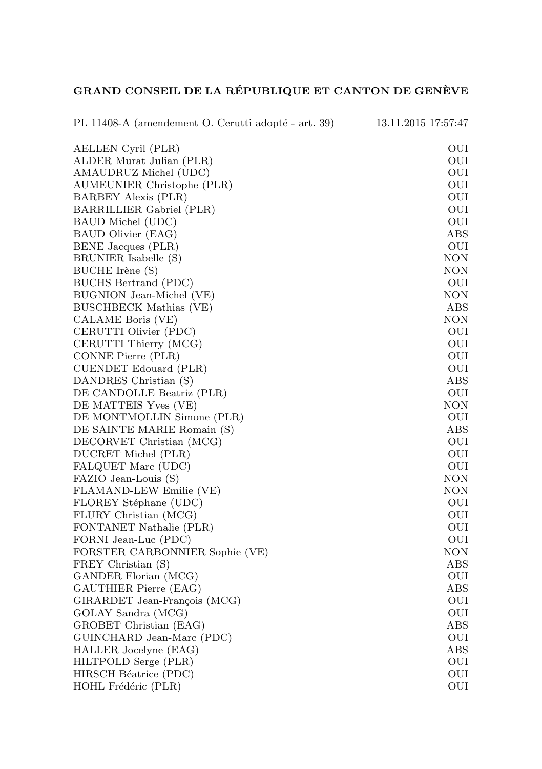## GRAND CONSEIL DE LA RÉPUBLIQUE ET CANTON DE GENÈVE

| PL 11408-A (amendement O. Cerutti adopté - art. 39) | 13.11.2015 17:57:47 |
|-----------------------------------------------------|---------------------|
| AELLEN Cyril (PLR)                                  | OUI                 |
| ALDER Murat Julian (PLR)                            | OUI                 |
| AMAUDRUZ Michel (UDC)                               | OUI                 |
| AUMEUNIER Christophe (PLR)                          | OUI                 |
| <b>BARBEY Alexis (PLR)</b>                          | OUI                 |
| BARRILLIER Gabriel (PLR)                            | OUI                 |
| BAUD Michel (UDC)                                   | OUI                 |
| BAUD Olivier (EAG)                                  | ABS                 |
| BENE Jacques (PLR)                                  | OUI                 |
| BRUNIER Isabelle (S)                                | NON                 |
| BUCHE Irène (S)                                     | NON                 |
| BUCHS Bertrand (PDC)                                | OUI                 |
| BUGNION Jean-Michel (VE)                            | NON                 |
| <b>BUSCHBECK Mathias (VE)</b>                       | ABS                 |
| CALAME Boris (VE)                                   | <b>NON</b>          |
| CERUTTI Olivier (PDC)                               | OUI                 |
| CERUTTI Thierry (MCG)                               | OUI                 |
| CONNE Pierre (PLR)                                  | OUI                 |
| CUENDET Edouard (PLR)                               | OUI                 |
| DANDRES Christian (S)                               | ABS                 |
| DE CANDOLLE Beatriz (PLR)                           | OUI                 |
| DE MATTEIS Yves (VE)                                | <b>NON</b>          |
| DE MONTMOLLIN Simone (PLR)                          | OUI                 |
| DE SAINTE MARIE Romain (S)                          | ABS                 |
| DECORVET Christian (MCG)                            | OUI                 |
| DUCRET Michel (PLR)                                 | OUI                 |
| FALQUET Marc (UDC)                                  | OUI                 |
| FAZIO Jean-Louis (S)                                | NON                 |
| FLAMAND-LEW Emilie (VE)                             | NON                 |
| FLOREY Stéphane (UDC)                               | OUI                 |
| FLURY Christian (MCG)                               | OUI                 |
| FONTANET Nathalie (PLR)                             | OUI                 |
| FORNI Jean-Luc (PDC)                                | OUI                 |
| FORSTER CARBONNIER Sophie (VE)                      | NON                 |
| FREY Christian (S)                                  | ABS                 |
| GANDER Florian (MCG)                                | OUI                 |
| GAUTHIER Pierre (EAG)                               | ABS                 |
| GIRARDET Jean-François (MCG)                        | OUI                 |
| GOLAY Sandra (MCG)                                  | OUI                 |
| GROBET Christian (EAG)                              | ABS                 |
| GUINCHARD Jean-Marc (PDC)                           | OUI                 |
| HALLER Jocelyne (EAG)                               | ABS                 |
| HILTPOLD Serge (PLR)                                | OUI                 |
| HIRSCH Béatrice (PDC)                               | OUI                 |
| HOHL Frédéric (PLR)                                 | OUI                 |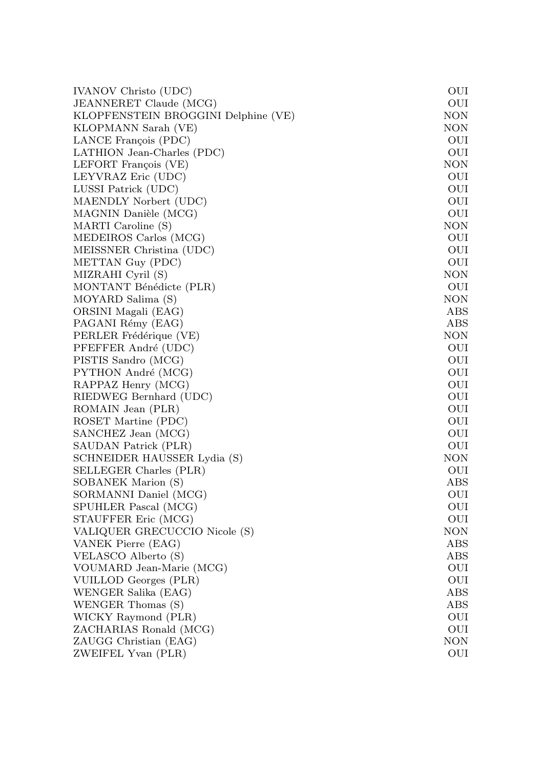| IVANOV Christo (UDC)                                | OUI        |
|-----------------------------------------------------|------------|
| JEANNERET Claude (MCG)                              | OUI        |
| KLOPFENSTEIN BROGGINI Delphine (VE)                 | NON        |
| KLOPMANN Sarah (VE)                                 | NON        |
| LANCE François (PDC)                                | OUI        |
| LATHION Jean-Charles (PDC)                          | OUI        |
| LEFORT François (VE)                                | <b>NON</b> |
| LEYVRAZ Eric (UDC)                                  | OUI        |
| LUSSI Patrick (UDC)                                 | OUI        |
| MAENDLY Norbert (UDC)                               | OUI        |
| MAGNIN Danièle (MCG)                                | OUI        |
| MARTI Caroline (S)                                  | NON        |
| MEDEIROS Carlos (MCG)                               | OUI        |
| MEISSNER Christina (UDC)                            | OUI        |
| METTAN Guy (PDC)                                    | OUI        |
| MIZRAHI Cyril (S)                                   | NON        |
| MONTANT Bénédicte (PLR)                             | OUI        |
| MOYARD Salima (S)                                   | NON        |
| ORSINI Magali (EAG)                                 | ABS        |
| PAGANI Rémy (EAG)                                   | ABS        |
| PERLER Frédérique (VE)                              | NON        |
| PFEFFER André (UDC)                                 | OUI        |
| PISTIS Sandro (MCG)                                 | OUI        |
| PYTHON André (MCG)                                  | OUI        |
| RAPPAZ Henry (MCG)                                  | OUI        |
| RIEDWEG Bernhard (UDC)                              | OUI        |
| ROMAIN Jean (PLR)                                   | OUI        |
| ROSET Martine (PDC)                                 | OUI        |
| SANCHEZ Jean (MCG)                                  | OUI        |
| SAUDAN Patrick (PLR)                                | OUI        |
| SCHNEIDER HAUSSER Lydia (S)                         | <b>NON</b> |
| SELLEGER Charles (PLR)                              | OUI        |
| SOBANEK Marion (S)                                  | ABS        |
| SORMANNI Daniel (MCG)                               | OUI        |
| SPUHLER Pascal (MCG)                                | OUI        |
| STAUFFER Eric (MCG)                                 | OUI        |
| VALIQUER GRECUCCIO Nicole (S)<br>VANEK Pierre (EAG) | NON<br>ABS |
| VELASCO Alberto (S)                                 | ABS        |
| VOUMARD Jean-Marie (MCG)                            | OUI        |
| VUILLOD Georges (PLR)                               | OUI        |
| WENGER Salika (EAG)                                 | ABS        |
| WENGER Thomas (S)                                   | ABS        |
| WICKY Raymond (PLR)                                 | OUI        |
| ZACHARIAS Ronald (MCG)                              | OUI        |
| ZAUGG Christian (EAG)                               | NON        |
| ZWEIFEL Yvan (PLR)                                  | OUI        |
|                                                     |            |